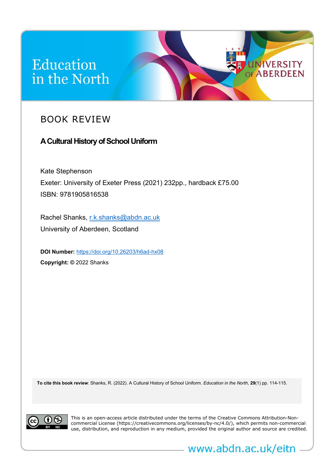# Education in the North

## BOOK REVIEW

### **A Cultural History of School Uniform**

Kate Stephenson Exeter: University of Exeter Press (2021) 232pp., hardback £75.00 ISBN: 9781905816538

**INIVERSITY ABERDEEN** 

Rachel Shanks, [r.k.shanks@abdn.ac.uk](mailto:r.k.shanks@abdn.ac.uk) University of Aberdeen, Scotland

**DOI Number:** <https://doi.org/10.26203/h6ad-hx08> **Copyright: ©** 2022 Shanks

**To cite this book review**: Shanks, R. (2022). A Cultural History of School Uniform. *Education in the North*, **29**(1) pp. 114-115.



This is an open-access article distributed under the terms of the Creative Commons Attribution-Noncommercial License (https://creativecommons.org/licenses/by-nc/4.0/), which permits non-commercial use, distribution, and reproduction in any medium, provided the original author and source are credited.

www.abdn.ac.uk/eitn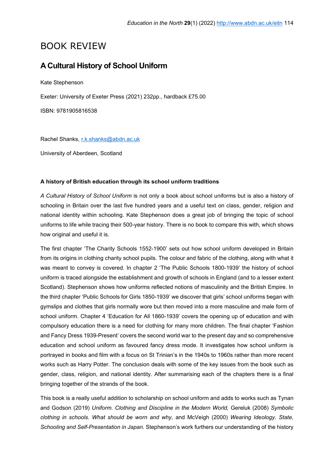#### BOOK REVIEW

#### **A Cultural History of School Uniform**

Kate Stephenson

Exeter: University of Exeter Press (2021) 232pp., hardback £75.00

ISBN: 9781905816538

Rachel Shanks, [r.k.shanks@abdn.ac.uk](mailto:r.k.shanks@abdn.ac.uk)

University of Aberdeen, Scotland

#### **A history of British education through its school uniform traditions**

*A Cultural History of School Uniform* is not only a book about school uniforms but is also a history of schooling in Britain over the last five hundred years and a useful text on class, gender, religion and national identity within schooling. Kate Stephenson does a great job of bringing the topic of school uniforms to life while tracing their 500-year history. There is no book to compare this with, which shows how original and useful it is.

The first chapter 'The Charity Schools 1552-1900' sets out how school uniform developed in Britain from its origins in clothing charity school pupils. The colour and fabric of the clothing, along with what it was meant to convey is covered. In chapter 2 'The Public Schools 1800-1939' the history of school uniform is traced alongside the establishment and growth of schools in England (and to a lesser extent Scotland). Stephenson shows how uniforms reflected notions of masculinity and the British Empire. In the third chapter 'Public Schools for Girls 1850-1939' we discover that girls' school uniforms began with gymslips and clothes that girls normally wore but then moved into a more masculine and male form of school uniform. Chapter 4 'Education for All 1860-1939' covers the opening up of education and with compulsory education there is a need for clothing for many more children. The final chapter 'Fashion and Fancy Dress 1939-Present' covers the second world war to the present day and so comprehensive education and school uniform as favoured fancy dress mode. It investigates how school uniform is portrayed in books and film with a focus on St Trinian's in the 1940s to 1960s rather than more recent works such as Harry Potter. The conclusion deals with some of the key issues from the book such as gender, class, religion, and national identity. After summarising each of the chapters there is a final bringing together of the strands of the book.

This book is a really useful addition to scholarship on school uniform and adds to works such as Tynan and Godson (2019) *Uniform. Clothing and Discipline in the Modern World,* Gereluk (2008) *Symbolic clothing in schools. What should be worn and why,* and McVeigh (2000) *Wearing Ideology. State, Schooling and Self-Presentation in Japan.* Stephenson's work furthers our understanding of the history